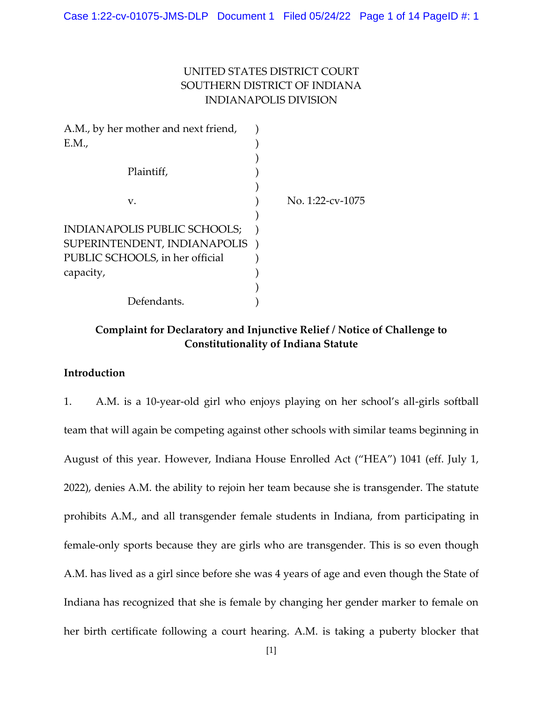# UNITED STATES DISTRICT COURT SOUTHERN DISTRICT OF INDIANA INDIANAPOLIS DIVISION

| A.M., by her mother and next friend, |                  |
|--------------------------------------|------------------|
| E.M.,                                |                  |
|                                      |                  |
| Plaintiff,                           |                  |
|                                      |                  |
| V.                                   | No. 1:22-cv-1075 |
|                                      |                  |
| INDIANAPOLIS PUBLIC SCHOOLS;         |                  |
| SUPERINTENDENT, INDIANAPOLIS         |                  |
| PUBLIC SCHOOLS, in her official      |                  |
| capacity,                            |                  |
|                                      |                  |
| Defendants.                          |                  |

# **Complaint for Declaratory and Injunctive Relief / Notice of Challenge to Constitutionality of Indiana Statute**

# **Introduction**

1. A.M. is a 10-year-old girl who enjoys playing on her school's all-girls softball team that will again be competing against other schools with similar teams beginning in August of this year. However, Indiana House Enrolled Act ("HEA") 1041 (eff. July 1, 2022), denies A.M. the ability to rejoin her team because she is transgender. The statute prohibits A.M., and all transgender female students in Indiana, from participating in female-only sports because they are girls who are transgender. This is so even though A.M. has lived as a girl since before she was 4 years of age and even though the State of Indiana has recognized that she is female by changing her gender marker to female on her birth certificate following a court hearing. A.M. is taking a puberty blocker that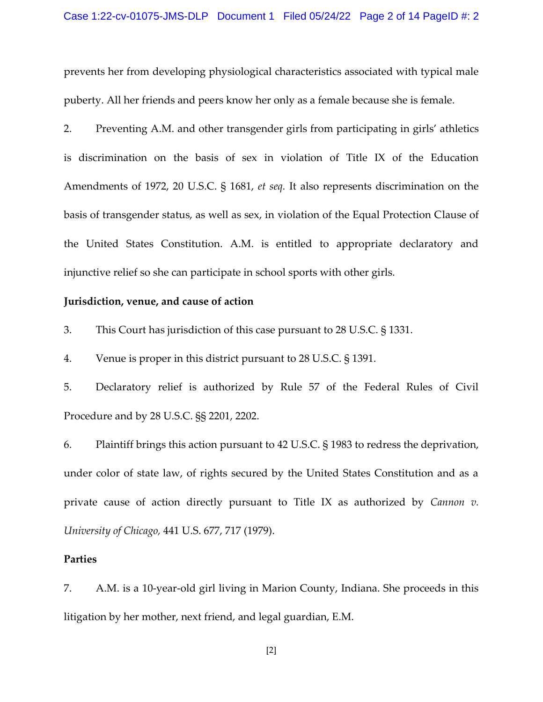prevents her from developing physiological characteristics associated with typical male puberty. All her friends and peers know her only as a female because she is female.

2. Preventing A.M. and other transgender girls from participating in girls' athletics is discrimination on the basis of sex in violation of Title IX of the Education Amendments of 1972, 20 U.S.C. § 1681, *et seq.* It also represents discrimination on the basis of transgender status, as well as sex, in violation of the Equal Protection Clause of the United States Constitution. A.M. is entitled to appropriate declaratory and injunctive relief so she can participate in school sports with other girls.

### **Jurisdiction, venue, and cause of action**

3. This Court has jurisdiction of this case pursuant to 28 U.S.C. § 1331.

4. Venue is proper in this district pursuant to 28 U.S.C. § 1391.

5. Declaratory relief is authorized by Rule 57 of the Federal Rules of Civil Procedure and by 28 U.S.C. §§ 2201, 2202.

6. Plaintiff brings this action pursuant to 42 U.S.C. § 1983 to redress the deprivation, under color of state law, of rights secured by the United States Constitution and as a private cause of action directly pursuant to Title IX as authorized by *Cannon v. University of Chicago,* 441 U.S. 677, 717 (1979).

### **Parties**

7. A.M. is a 10-year-old girl living in Marion County, Indiana. She proceeds in this litigation by her mother, next friend, and legal guardian, E.M.

[2]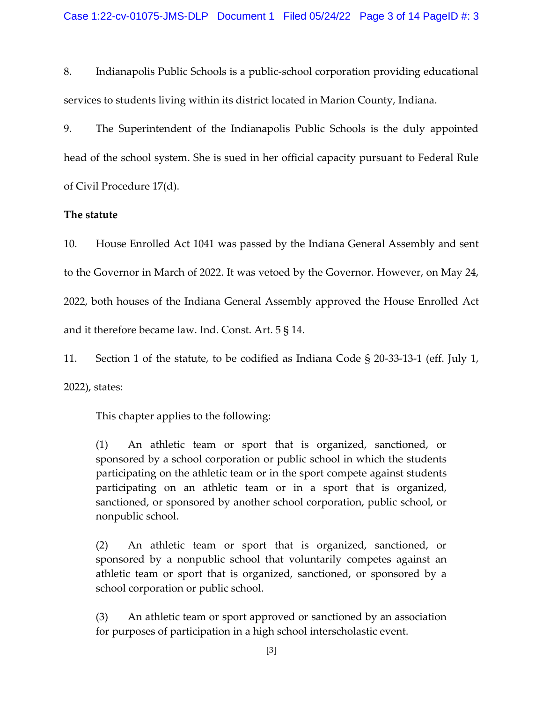8. Indianapolis Public Schools is a public-school corporation providing educational services to students living within its district located in Marion County, Indiana.

9. The Superintendent of the Indianapolis Public Schools is the duly appointed head of the school system. She is sued in her official capacity pursuant to Federal Rule of Civil Procedure 17(d).

# **The statute**

10. House Enrolled Act 1041 was passed by the Indiana General Assembly and sent to the Governor in March of 2022. It was vetoed by the Governor. However, on May 24, 2022, both houses of the Indiana General Assembly approved the House Enrolled Act and it therefore became law. Ind. Const. Art. 5 § 14.

11. Section 1 of the statute, to be codified as Indiana Code § 20-33-13-1 (eff. July 1, 2022), states:

This chapter applies to the following:

(1) An athletic team or sport that is organized, sanctioned, or sponsored by a school corporation or public school in which the students participating on the athletic team or in the sport compete against students participating on an athletic team or in a sport that is organized, sanctioned, or sponsored by another school corporation, public school, or nonpublic school.

(2) An athletic team or sport that is organized, sanctioned, or sponsored by a nonpublic school that voluntarily competes against an athletic team or sport that is organized, sanctioned, or sponsored by a school corporation or public school.

(3) An athletic team or sport approved or sanctioned by an association for purposes of participation in a high school interscholastic event.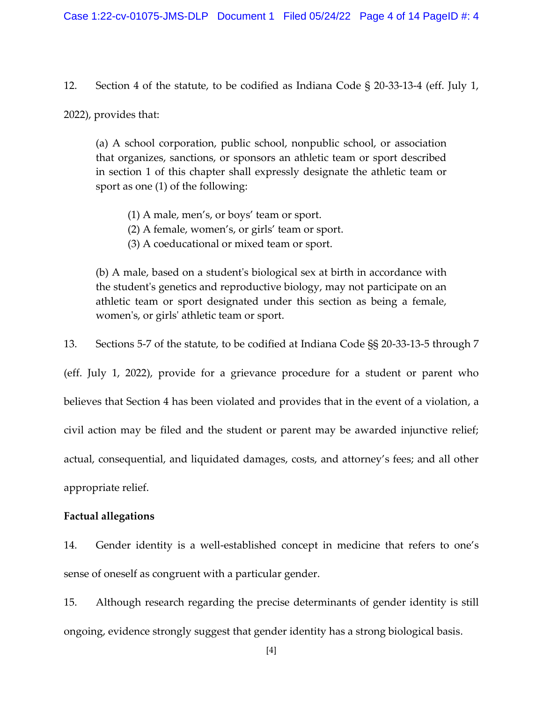12. Section 4 of the statute, to be codified as Indiana Code § 20-33-13-4 (eff. July 1,

2022), provides that:

(a) A school corporation, public school, nonpublic school, or association that organizes, sanctions, or sponsors an athletic team or sport described in section 1 of this chapter shall expressly designate the athletic team or sport as one (1) of the following:

- (1) A male, men's, or boys' team or sport.
- (2) A female, women's, or girls' team or sport.
- (3) A coeducational or mixed team or sport.

(b) A male, based on a student's biological sex at birth in accordance with the student's genetics and reproductive biology, may not participate on an athletic team or sport designated under this section as being a female, women's, or girls' athletic team or sport.

13. Sections 5-7 of the statute, to be codified at Indiana Code §§ 20-33-13-5 through 7

(eff. July 1, 2022), provide for a grievance procedure for a student or parent who believes that Section 4 has been violated and provides that in the event of a violation, a civil action may be filed and the student or parent may be awarded injunctive relief; actual, consequential, and liquidated damages, costs, and attorney's fees; and all other appropriate relief.

## **Factual allegations**

14. Gender identity is a well-established concept in medicine that refers to one's sense of oneself as congruent with a particular gender.

15. Although research regarding the precise determinants of gender identity is still ongoing, evidence strongly suggest that gender identity has a strong biological basis.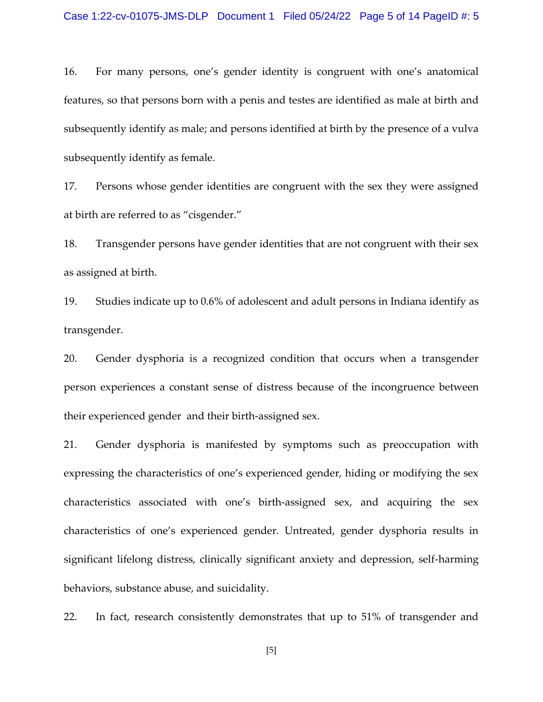16. For many persons, one's gender identity is congruent with one's anatomical features, so that persons born with a penis and testes are identified as male at birth and subsequently identify as male; and persons identified at birth by the presence of a vulva subsequently identify as female.

17. Persons whose gender identities are congruent with the sex they were assigned at birth are referred to as "cisgender."

18. Transgender persons have gender identities that are not congruent with their sex as assigned at birth.

19. Studies indicate up to 0.6% of adolescent and adult persons in Indiana identify as transgender.

20. Gender dysphoria is a recognized condition that occurs when a transgender person experiences a constant sense of distress because of the incongruence between their experienced gender and their birth-assigned sex.

21. Gender dysphoria is manifested by symptoms such as preoccupation with expressing the characteristics of one's experienced gender, hiding or modifying the sex characteristics associated with one's birth-assigned sex, and acquiring the sex characteristics of one's experienced gender. Untreated, gender dysphoria results in significant lifelong distress, clinically significant anxiety and depression, self-harming behaviors, substance abuse, and suicidality.

22. In fact, research consistently demonstrates that up to 51% of transgender and

[5]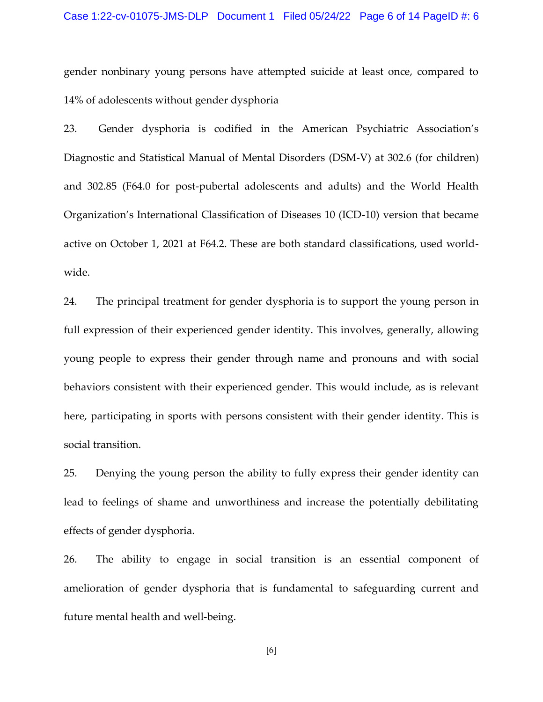gender nonbinary young persons have attempted suicide at least once, compared to 14% of adolescents without gender dysphoria

23. Gender dysphoria is codified in the American Psychiatric Association's Diagnostic and Statistical Manual of Mental Disorders (DSM-V) at 302.6 (for children) and 302.85 (F64.0 for post-pubertal adolescents and adults) and the World Health Organization's International Classification of Diseases 10 (ICD-10) version that became active on October 1, 2021 at F64.2. These are both standard classifications, used worldwide.

24. The principal treatment for gender dysphoria is to support the young person in full expression of their experienced gender identity. This involves, generally, allowing young people to express their gender through name and pronouns and with social behaviors consistent with their experienced gender. This would include, as is relevant here, participating in sports with persons consistent with their gender identity. This is social transition.

25. Denying the young person the ability to fully express their gender identity can lead to feelings of shame and unworthiness and increase the potentially debilitating effects of gender dysphoria.

26. The ability to engage in social transition is an essential component of amelioration of gender dysphoria that is fundamental to safeguarding current and future mental health and well-being.

[6]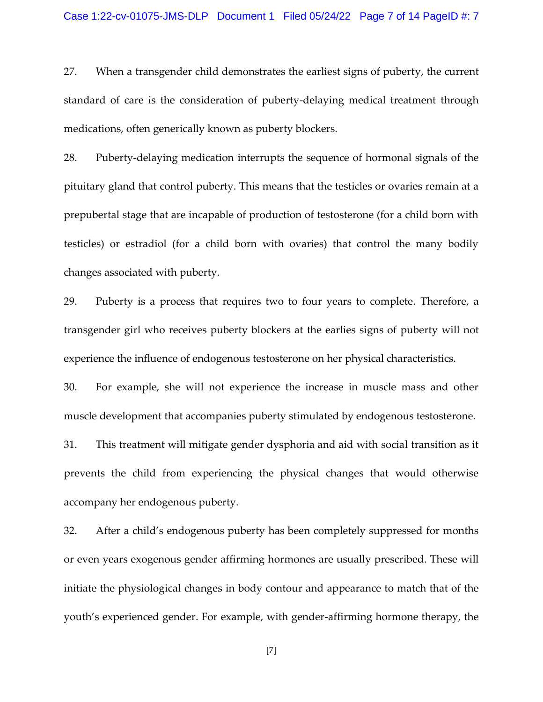27. When a transgender child demonstrates the earliest signs of puberty, the current standard of care is the consideration of puberty-delaying medical treatment through medications, often generically known as puberty blockers.

28. Puberty-delaying medication interrupts the sequence of hormonal signals of the pituitary gland that control puberty. This means that the testicles or ovaries remain at a prepubertal stage that are incapable of production of testosterone (for a child born with testicles) or estradiol (for a child born with ovaries) that control the many bodily changes associated with puberty.

29. Puberty is a process that requires two to four years to complete. Therefore, a transgender girl who receives puberty blockers at the earlies signs of puberty will not experience the influence of endogenous testosterone on her physical characteristics.

30. For example, she will not experience the increase in muscle mass and other muscle development that accompanies puberty stimulated by endogenous testosterone.

31. This treatment will mitigate gender dysphoria and aid with social transition as it prevents the child from experiencing the physical changes that would otherwise accompany her endogenous puberty.

32. After a child's endogenous puberty has been completely suppressed for months or even years exogenous gender affirming hormones are usually prescribed. These will initiate the physiological changes in body contour and appearance to match that of the youth's experienced gender. For example, with gender-affirming hormone therapy, the

[7]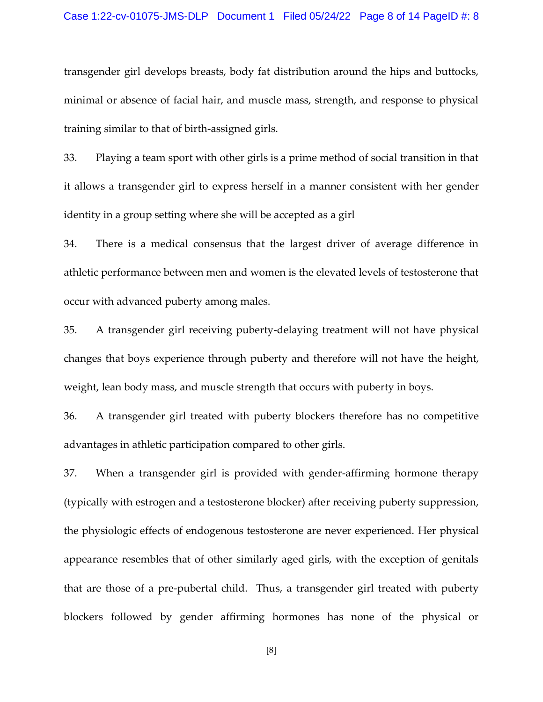# Case 1:22-cv-01075-JMS-DLP Document 1 Filed 05/24/22 Page 8 of 14 PageID #: 8

transgender girl develops breasts, body fat distribution around the hips and buttocks, minimal or absence of facial hair, and muscle mass, strength, and response to physical training similar to that of birth-assigned girls.

33. Playing a team sport with other girls is a prime method of social transition in that it allows a transgender girl to express herself in a manner consistent with her gender identity in a group setting where she will be accepted as a girl

34. There is a medical consensus that the largest driver of average difference in athletic performance between men and women is the elevated levels of testosterone that occur with advanced puberty among males.

35. A transgender girl receiving puberty-delaying treatment will not have physical changes that boys experience through puberty and therefore will not have the height, weight, lean body mass, and muscle strength that occurs with puberty in boys.

36. A transgender girl treated with puberty blockers therefore has no competitive advantages in athletic participation compared to other girls.

37. When a transgender girl is provided with gender-affirming hormone therapy (typically with estrogen and a testosterone blocker) after receiving puberty suppression, the physiologic effects of endogenous testosterone are never experienced. Her physical appearance resembles that of other similarly aged girls, with the exception of genitals that are those of a pre-pubertal child. Thus, a transgender girl treated with puberty blockers followed by gender affirming hormones has none of the physical or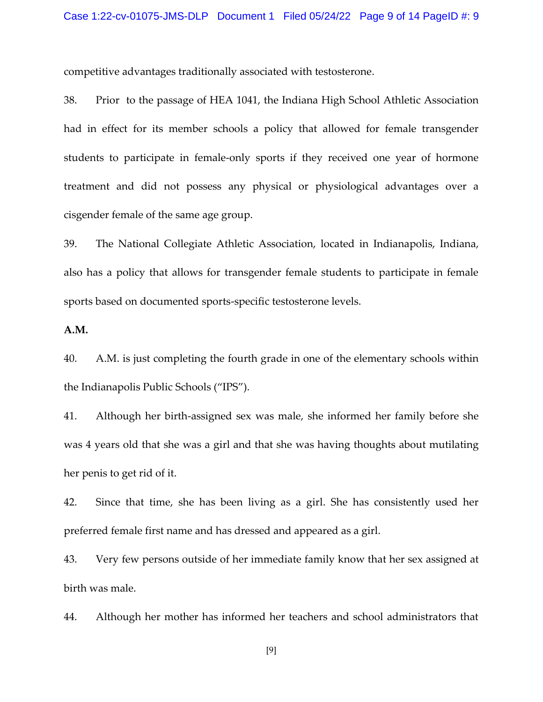competitive advantages traditionally associated with testosterone.

38. Prior to the passage of HEA 1041, the Indiana High School Athletic Association had in effect for its member schools a policy that allowed for female transgender students to participate in female-only sports if they received one year of hormone treatment and did not possess any physical or physiological advantages over a cisgender female of the same age group.

39. The National Collegiate Athletic Association, located in Indianapolis, Indiana, also has a policy that allows for transgender female students to participate in female sports based on documented sports-specific testosterone levels.

**A.M.**

40. A.M. is just completing the fourth grade in one of the elementary schools within the Indianapolis Public Schools ("IPS").

41. Although her birth-assigned sex was male, she informed her family before she was 4 years old that she was a girl and that she was having thoughts about mutilating her penis to get rid of it.

42. Since that time, she has been living as a girl. She has consistently used her preferred female first name and has dressed and appeared as a girl.

43. Very few persons outside of her immediate family know that her sex assigned at birth was male.

44. Although her mother has informed her teachers and school administrators that

[9]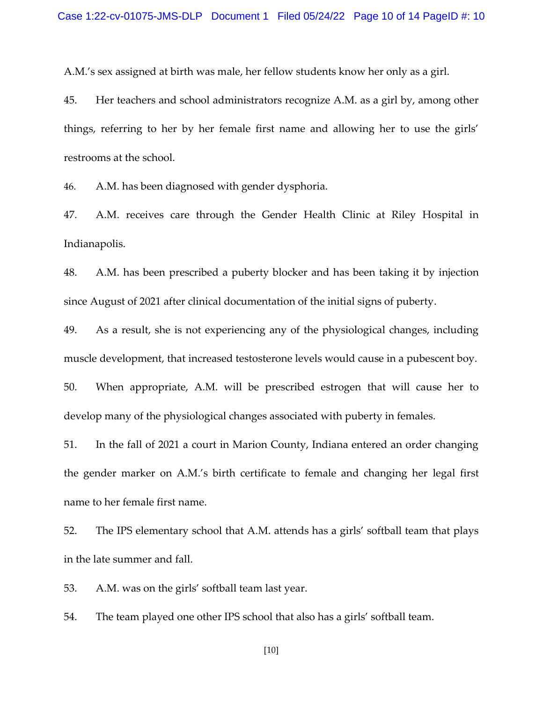A.M.'s sex assigned at birth was male, her fellow students know her only as a girl.

45. Her teachers and school administrators recognize A.M. as a girl by, among other things, referring to her by her female first name and allowing her to use the girls' restrooms at the school.

46. A.M. has been diagnosed with gender dysphoria.

47. A.M. receives care through the Gender Health Clinic at Riley Hospital in Indianapolis.

48. A.M. has been prescribed a puberty blocker and has been taking it by injection since August of 2021 after clinical documentation of the initial signs of puberty.

49. As a result, she is not experiencing any of the physiological changes, including muscle development, that increased testosterone levels would cause in a pubescent boy.

50. When appropriate, A.M. will be prescribed estrogen that will cause her to develop many of the physiological changes associated with puberty in females.

51. In the fall of 2021 a court in Marion County, Indiana entered an order changing the gender marker on A.M.'s birth certificate to female and changing her legal first name to her female first name.

52. The IPS elementary school that A.M. attends has a girls' softball team that plays in the late summer and fall.

53. A.M. was on the girls' softball team last year.

54. The team played one other IPS school that also has a girls' softball team.

[10]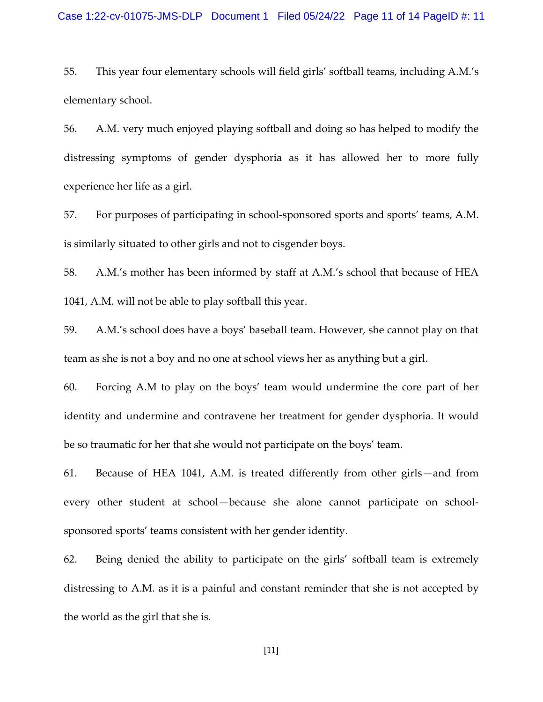### Case 1:22-cv-01075-JMS-DLP Document 1 Filed 05/24/22 Page 11 of 14 PageID #: 11

55. This year four elementary schools will field girls' softball teams, including A.M.'s elementary school.

56. A.M. very much enjoyed playing softball and doing so has helped to modify the distressing symptoms of gender dysphoria as it has allowed her to more fully experience her life as a girl.

57. For purposes of participating in school-sponsored sports and sports' teams, A.M. is similarly situated to other girls and not to cisgender boys.

58. A.M.'s mother has been informed by staff at A.M.'s school that because of HEA 1041, A.M. will not be able to play softball this year.

59. A.M.'s school does have a boys' baseball team. However, she cannot play on that team as she is not a boy and no one at school views her as anything but a girl.

60. Forcing A.M to play on the boys' team would undermine the core part of her identity and undermine and contravene her treatment for gender dysphoria. It would be so traumatic for her that she would not participate on the boys' team.

61. Because of HEA 1041, A.M. is treated differently from other girls—and from every other student at school—because she alone cannot participate on schoolsponsored sports' teams consistent with her gender identity.

62. Being denied the ability to participate on the girls' softball team is extremely distressing to A.M. as it is a painful and constant reminder that she is not accepted by the world as the girl that she is.

[11]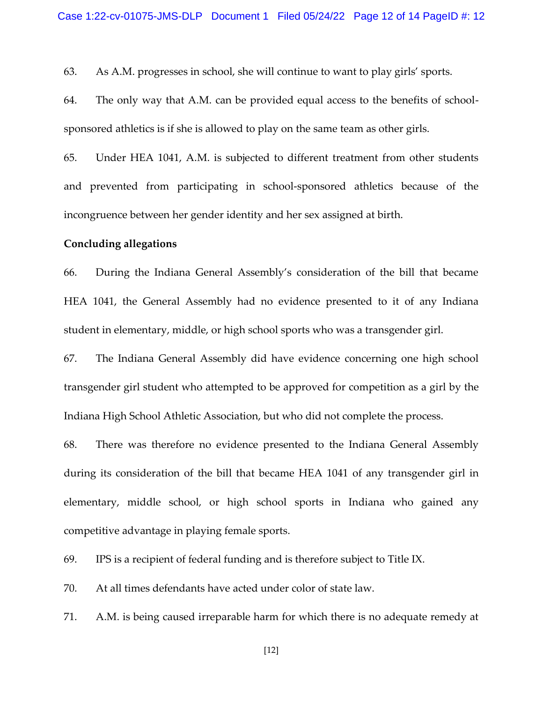63. As A.M. progresses in school, she will continue to want to play girls' sports.

64. The only way that A.M. can be provided equal access to the benefits of schoolsponsored athletics is if she is allowed to play on the same team as other girls.

65. Under HEA 1041, A.M. is subjected to different treatment from other students and prevented from participating in school-sponsored athletics because of the incongruence between her gender identity and her sex assigned at birth.

### **Concluding allegations**

66. During the Indiana General Assembly's consideration of the bill that became HEA 1041, the General Assembly had no evidence presented to it of any Indiana student in elementary, middle, or high school sports who was a transgender girl.

67. The Indiana General Assembly did have evidence concerning one high school transgender girl student who attempted to be approved for competition as a girl by the Indiana High School Athletic Association, but who did not complete the process.

68. There was therefore no evidence presented to the Indiana General Assembly during its consideration of the bill that became HEA 1041 of any transgender girl in elementary, middle school, or high school sports in Indiana who gained any competitive advantage in playing female sports.

69. IPS is a recipient of federal funding and is therefore subject to Title IX.

70. At all times defendants have acted under color of state law.

71. A.M. is being caused irreparable harm for which there is no adequate remedy at

[12]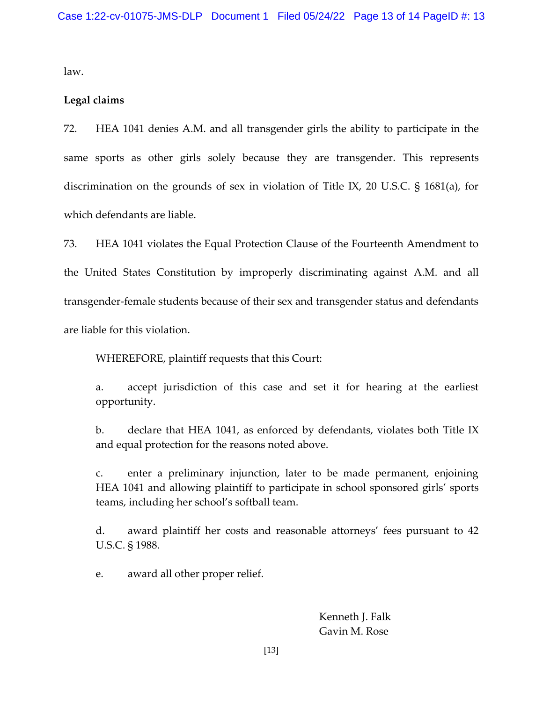law.

## **Legal claims**

72. HEA 1041 denies A.M. and all transgender girls the ability to participate in the same sports as other girls solely because they are transgender. This represents discrimination on the grounds of sex in violation of Title IX, 20 U.S.C. § 1681(a), for which defendants are liable.

73. HEA 1041 violates the Equal Protection Clause of the Fourteenth Amendment to the United States Constitution by improperly discriminating against A.M. and all transgender-female students because of their sex and transgender status and defendants are liable for this violation.

WHEREFORE, plaintiff requests that this Court:

a. accept jurisdiction of this case and set it for hearing at the earliest opportunity.

b. declare that HEA 1041, as enforced by defendants, violates both Title IX and equal protection for the reasons noted above.

c. enter a preliminary injunction, later to be made permanent, enjoining HEA 1041 and allowing plaintiff to participate in school sponsored girls' sports teams, including her school's softball team.

d. award plaintiff her costs and reasonable attorneys' fees pursuant to 42 U.S.C. § 1988.

e. award all other proper relief.

Kenneth J. Falk Gavin M. Rose